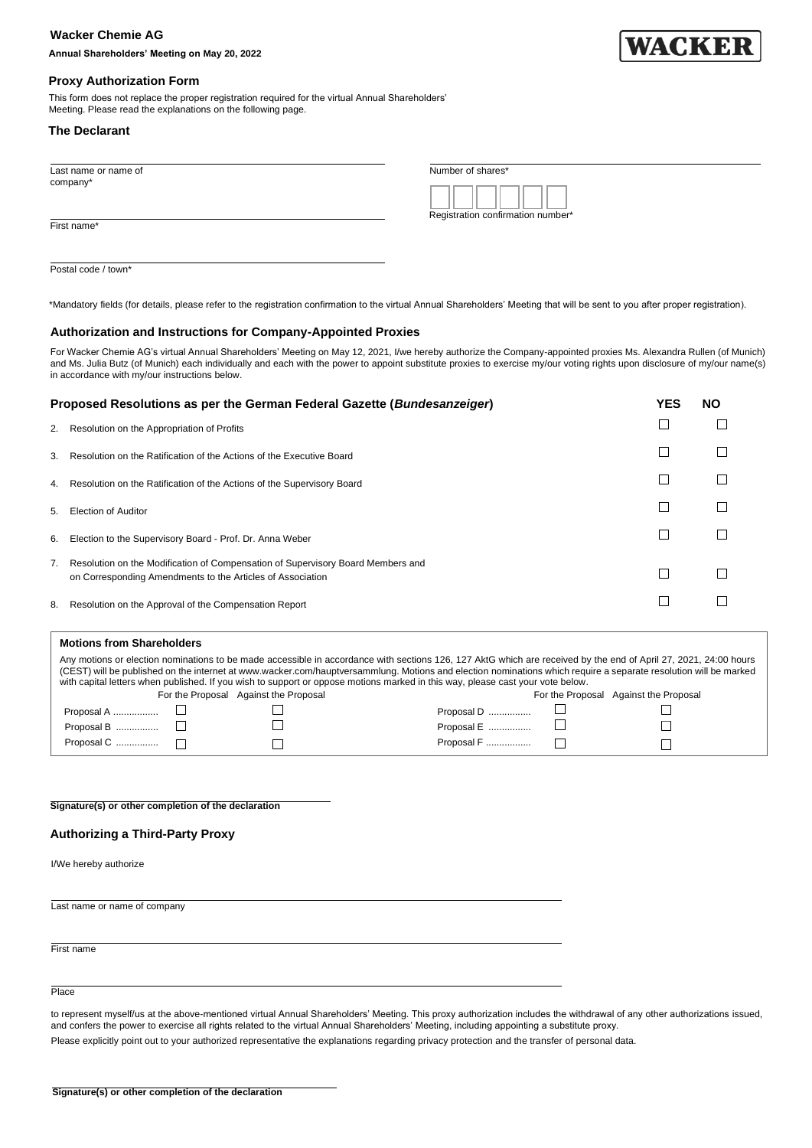# **Wacker Chemie AG**

**Annual Shareholders' Meeting on May 20, 2022**



# **Proxy Authorization Form**

This form does not replace the proper registration required for the virtual Annual Shareholders' Meeting. Please read the explanations on the following page.

## **The Declarant**

Postal code / town<sup>\*</sup>

| Last name or name of | Number of shares*                 |  |
|----------------------|-----------------------------------|--|
| company*             | Registration confirmation number* |  |
| First name*          |                                   |  |
|                      |                                   |  |

\*Mandatory fields (for details, please refer to the registration confirmation to the virtual Annual Shareholders' Meeting that will be sent to you after proper registration).

# **Authorization and Instructions for Company-Appointed Proxies**

For Wacker Chemie AG's virtual Annual Shareholders' Meeting on May 12, 2021, I/we hereby authorize the Company-appointed proxies Ms. Alexandra Rullen (of Munich) and Ms. Julia Butz (of Munich) each individually and each with the power to appoint substitute proxies to exercise my/our voting rights upon disclosure of my/our name(s) in accordance with my/our instructions below.

| Proposed Resolutions as per the German Federal Gazette (Bundesanzeiger) |                                                                                                                                                  |  | NΟ |
|-------------------------------------------------------------------------|--------------------------------------------------------------------------------------------------------------------------------------------------|--|----|
|                                                                         | 2. Resolution on the Appropriation of Profits                                                                                                    |  |    |
| 3.                                                                      | Resolution on the Ratification of the Actions of the Executive Board                                                                             |  |    |
|                                                                         | 4. Resolution on the Ratification of the Actions of the Supervisory Board                                                                        |  |    |
|                                                                         | 5. Election of Auditor                                                                                                                           |  |    |
| 6.                                                                      | Election to the Supervisory Board - Prof. Dr. Anna Weber                                                                                         |  |    |
|                                                                         | 7. Resolution on the Modification of Compensation of Supervisory Board Members and<br>on Corresponding Amendments to the Articles of Association |  |    |
|                                                                         | 8. Resolution on the Approval of the Compensation Report                                                                                         |  |    |

| <b>Motions from Shareholders</b>                                                                                                                                                                                                                                                                                                                                                                                                                                       |  |                                       |            |  |                                       |  |  |  |
|------------------------------------------------------------------------------------------------------------------------------------------------------------------------------------------------------------------------------------------------------------------------------------------------------------------------------------------------------------------------------------------------------------------------------------------------------------------------|--|---------------------------------------|------------|--|---------------------------------------|--|--|--|
| Any motions or election nominations to be made accessible in accordance with sections 126, 127 AktG which are received by the end of April 27, 2021, 24:00 hours<br>(CEST) will be published on the internet at www.wacker.com/hauptversammlung. Motions and election nominations which require a separate resolution will be marked<br>with capital letters when published. If you wish to support or oppose motions marked in this way, please cast your vote below. |  |                                       |            |  |                                       |  |  |  |
|                                                                                                                                                                                                                                                                                                                                                                                                                                                                        |  | For the Proposal Against the Proposal |            |  | For the Proposal Against the Proposal |  |  |  |
|                                                                                                                                                                                                                                                                                                                                                                                                                                                                        |  |                                       | Proposal D |  |                                       |  |  |  |
| Proposal B $\ldots$ $\ldots$ $\ldots$                                                                                                                                                                                                                                                                                                                                                                                                                                  |  |                                       |            |  |                                       |  |  |  |
| Proposal C  □                                                                                                                                                                                                                                                                                                                                                                                                                                                          |  |                                       | Proposal F |  |                                       |  |  |  |

**Signature(s) or other completion of the declaration**

## **Authorizing a Third-Party Proxy**

I/We hereby authorize

Last name or name of company

First name

Place

to represent myself/us at the above-mentioned virtual Annual Shareholders' Meeting. This proxy authorization includes the withdrawal of any other authorizations issued, and confers the power to exercise all rights related to the virtual Annual Shareholders' Meeting, including appointing a substitute proxy.

Please explicitly point out to your authorized representative the explanations regarding privacy protection and the transfer of personal data.